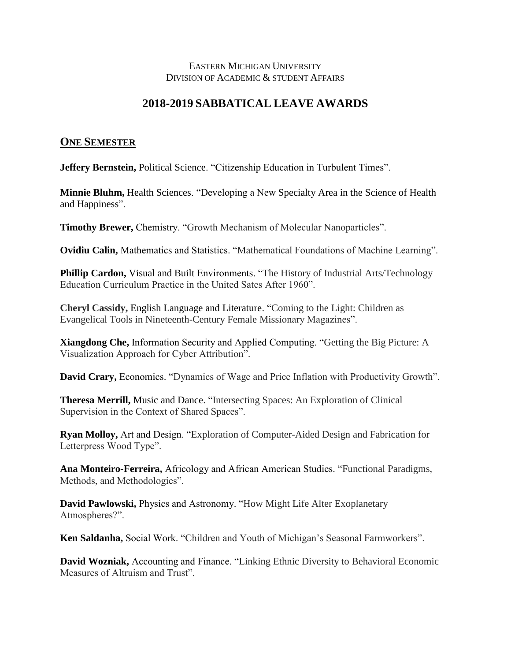## EASTERN MICHIGAN UNIVERSITY DIVISION OF ACADEMIC & STUDENT AFFAIRS

## **2018-2019 SABBATICAL LEAVE AWARDS**

## **ONE SEMESTER**

**Jeffery Bernstein, Political Science. "Citizenship Education in Turbulent Times".** 

**Minnie Bluhm,** Health Sciences. "Developing a New Specialty Area in the Science of Health and Happiness".

**Timothy Brewer,** Chemistry. "Growth Mechanism of Molecular Nanoparticles".

**Ovidiu Calin,** Mathematics and Statistics. "Mathematical Foundations of Machine Learning".

**Phillip Cardon,** Visual and Built Environments. "The History of Industrial Arts/Technology Education Curriculum Practice in the United Sates After 1960".

**Cheryl Cassidy,** English Language and Literature. "Coming to the Light: Children as Evangelical Tools in Nineteenth-Century Female Missionary Magazines".

**Xiangdong Che,** Information Security and Applied Computing. "Getting the Big Picture: A Visualization Approach for Cyber Attribution".

**David Crary,** Economics. "Dynamics of Wage and Price Inflation with Productivity Growth".

**Theresa Merrill,** Music and Dance. "Intersecting Spaces: An Exploration of Clinical Supervision in the Context of Shared Spaces".

**Ryan Molloy,** Art and Design. "Exploration of Computer-Aided Design and Fabrication for Letterpress Wood Type".

**Ana Monteiro-Ferreira,** Africology and African American Studies. "Functional Paradigms, Methods, and Methodologies".

**David Pawlowski,** Physics and Astronomy. "How Might Life Alter Exoplanetary Atmospheres?".

**Ken Saldanha,** Social Work. "Children and Youth of Michigan's Seasonal Farmworkers".

**David Wozniak,** Accounting and Finance. "Linking Ethnic Diversity to Behavioral Economic Measures of Altruism and Trust".